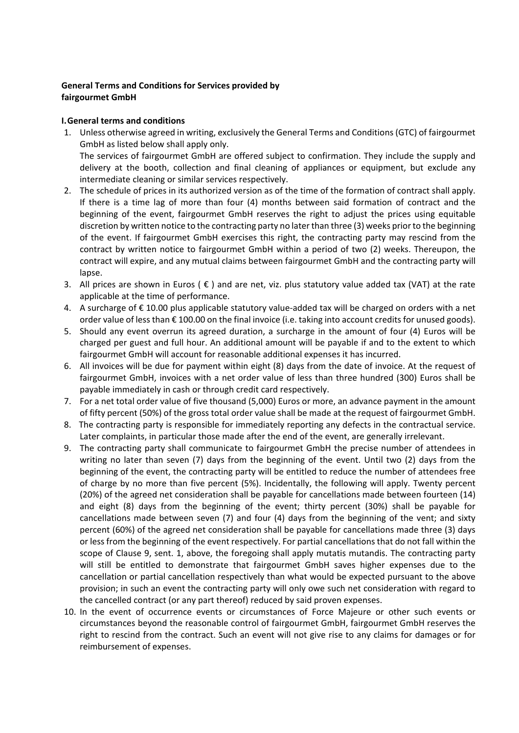## **General Terms and Conditions for Services provided by fairgourmet GmbH**

## **I. General terms and conditions**

- 1. Unless otherwise agreed in writing, exclusively the General Terms and Conditions (GTC) of fairgourmet GmbH as listed below shall apply only. The services of fairgourmet GmbH are offered subject to confirmation. They include the supply and delivery at the booth, collection and final cleaning of appliances or equipment, but exclude any intermediate cleaning or similar services respectively.
- 2. The schedule of prices in its authorized version as of the time of the formation of contract shall apply. If there is a time lag of more than four (4) months between said formation of contract and the beginning of the event, fairgourmet GmbH reserves the right to adjust the prices using equitable discretion by written notice to the contracting party no later than three (3) weeks prior to the beginning of the event. If fairgourmet GmbH exercises this right, the contracting party may rescind from the contract by written notice to fairgourmet GmbH within a period of two (2) weeks. Thereupon, the contract will expire, and any mutual claims between fairgourmet GmbH and the contracting party will lapse.
- 3. All prices are shown in Euros ( $\epsilon$ ) and are net, viz. plus statutory value added tax (VAT) at the rate applicable at the time of performance.
- 4. A surcharge of € 10.00 plus applicable statutory value‐added tax will be charged on orders with a net order value of less than € 100.00 on the final invoice (i.e. taking into account credits for unused goods).
- 5. Should any event overrun its agreed duration, a surcharge in the amount of four (4) Euros will be charged per guest and full hour. An additional amount will be payable if and to the extent to which fairgourmet GmbH will account for reasonable additional expenses it has incurred.
- 6. All invoices will be due for payment within eight (8) days from the date of invoice. At the request of fairgourmet GmbH, invoices with a net order value of less than three hundred (300) Euros shall be payable immediately in cash or through credit card respectively.
- 7. For a net total order value of five thousand (5,000) Euros or more, an advance payment in the amount of fifty percent (50%) of the gross total order value shall be made at the request of fairgourmet GmbH.
- 8. The contracting party is responsible for immediately reporting any defects in the contractual service. Later complaints, in particular those made after the end of the event, are generally irrelevant.
- 9. The contracting party shall communicate to fairgourmet GmbH the precise number of attendees in writing no later than seven (7) days from the beginning of the event. Until two (2) days from the beginning of the event, the contracting party will be entitled to reduce the number of attendees free of charge by no more than five percent (5%). Incidentally, the following will apply. Twenty percent (20%) of the agreed net consideration shall be payable for cancellations made between fourteen (14) and eight (8) days from the beginning of the event; thirty percent (30%) shall be payable for cancellations made between seven (7) and four (4) days from the beginning of the vent; and sixty percent (60%) of the agreed net consideration shall be payable for cancellations made three (3) days or less from the beginning of the event respectively. For partial cancellations that do not fall within the scope of Clause 9, sent. 1, above, the foregoing shall apply mutatis mutandis. The contracting party will still be entitled to demonstrate that fairgourmet GmbH saves higher expenses due to the cancellation or partial cancellation respectively than what would be expected pursuant to the above provision; in such an event the contracting party will only owe such net consideration with regard to the cancelled contract (or any part thereof) reduced by said proven expenses.
- 10. In the event of occurrence events or circumstances of Force Majeure or other such events or circumstances beyond the reasonable control of fairgourmet GmbH, fairgourmet GmbH reserves the right to rescind from the contract. Such an event will not give rise to any claims for damages or for reimbursement of expenses.